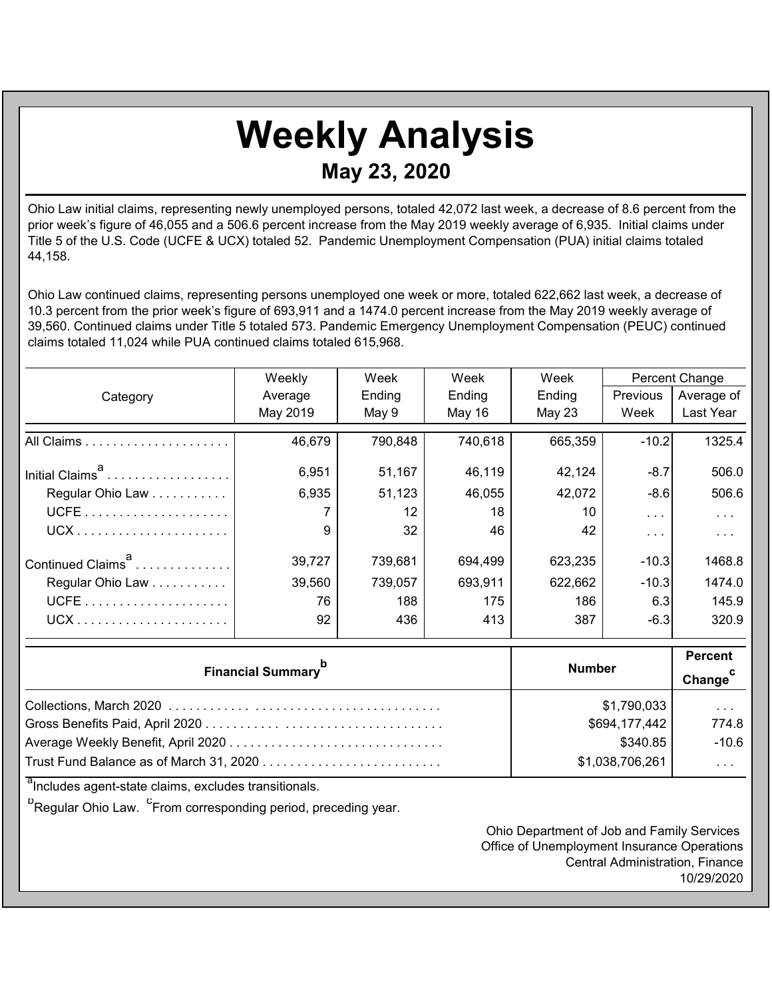## **Weekly Analysis May 23, 2020**

Ohio Law initial claims, representing newly unemployed persons, totaled 42,072 last week, a decrease of 8.6 percent from the prior week's figure of 46,055 and a 506.6 percent increase from the May 2019 weekly average of 6,935. Initial claims under Title 5 of the U.S. Code (UCFE & UCX) totaled 52. Pandemic Unemployment Compensation (PUA) initial claims totaled 44,158.

Ohio Law continued claims, representing persons unemployed one week or more, totaled 622,662 last week, a decrease of 10.3 percent from the prior week's figure of 693,911 and a 1474.0 percent increase from the May 2019 weekly average of 39,560. Continued claims under Title 5 totaled 573. Pandemic Emergency Unemployment Compensation (PEUC) continued claims totaled 11,024 while PUA continued claims totaled 615,968.

|                                       | Weekly          | Week<br>Week |                         | Week    |            | Percent Change |
|---------------------------------------|-----------------|--------------|-------------------------|---------|------------|----------------|
| Category                              | Average         | Ending       | Ending                  | Ending  | Previous   | Average of     |
|                                       | May 2019        | May 9        | May 16                  | May 23  | Week       | Last Year      |
|                                       | 46,679          | 790,848      | 740,618                 | 665,359 | $-10.2$    | 1325.4         |
| Initial Claims <sup>a</sup>           | 6,951           | 51,167       | 46,119                  | 42,124  | $-8.7$     | 506.0          |
| Regular Ohio Law                      | 6,935           | 51,123       | 46,055                  | 42,072  | $-8.6$     | 506.6          |
|                                       |                 | 12           | 18                      | 10      | $\sim 100$ | $\sim$ $\sim$  |
|                                       | 9               | 32           | 46                      | 42      | $\sim 100$ | $\sim$ .       |
| Continued Claims <sup>a</sup>         | 39,727          | 739,681      | 694,499                 | 623,235 | $-10.3$    | 1468.8         |
| Regular Ohio Law                      | 39,560          | 739,057      | 693,911                 | 622,662 | $-10.3$    | 1474.0         |
|                                       | 76              | 188          | 175                     | 186     | 6.3        | 145.9          |
|                                       | 92              | 436          | 413                     | 387     | $-6.3$     | 320.9          |
|                                       | <b>Number</b>   |              | <b>Percent</b>          |         |            |                |
| <b>Financial Summary</b> <sup>b</sup> |                 |              | Change <sup>c</sup>     |         |            |                |
|                                       | \$1,790,033     |              | $\cdots$                |         |            |                |
|                                       | \$694,177,442   |              | 774.8                   |         |            |                |
|                                       | \$340.85        |              | $-10.6$                 |         |            |                |
|                                       | \$1,038,706,261 |              | $\sim 100$ km s $^{-1}$ |         |            |                |

<sup>a</sup>Includes agent-state claims, excludes transitionals.

<sup>p</sup>Regular Ohio Law. <sup>C</sup>From corresponding period, preceding year.

Ohio Department of Job and Family Services Office of Unemployment Insurance Operations Central Administration, Finance 10/29/2020